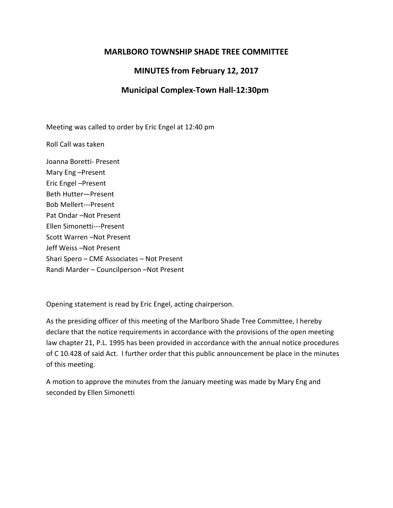## **MARLBORO TOWNSHIP SHADE TREE COMMITTEE**

## **MINUTES from February 12, 2017**

## **Municipal Complex-Town Hall-12:30pm**

Meeting was called to order by Eric Engel at 12:40 pm

Roll Call was taken

Joanna Boretti- Present Mary Eng –Present Eric Engel –Present Beth Hutter—Present Bob Mellert---Present Pat Ondar –Not Present Ellen Simonetti---Present Scott Warren –Not Present Jeff Weiss –Not Present Shari Spero – CME Associates – Not Present Randi Marder – Councilperson –Not Present

Opening statement is read by Eric Engel, acting chairperson.

As the presiding officer of this meeting of the Marlboro Shade Tree Committee, I hereby declare that the notice requirements in accordance with the provisions of the open meeting law chapter 21, P.L. 1995 has been provided in accordance with the annual notice procedures of C 10.428 of said Act. I further order that this public announcement be place in the minutes of this meeting.

A motion to approve the minutes from the January meeting was made by Mary Eng and seconded by Ellen Simonetti